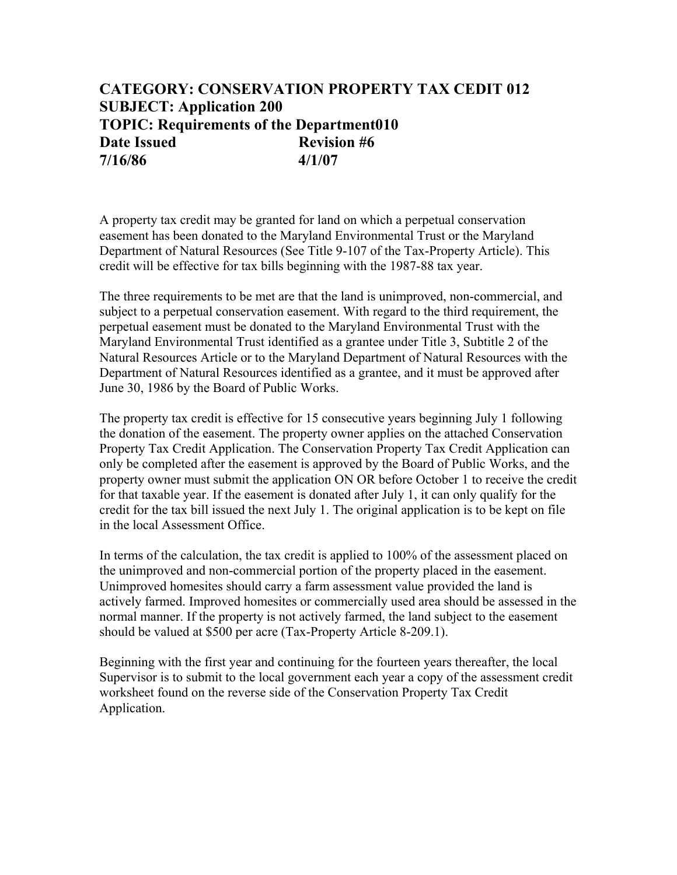## **CATEGORY: CONSERVATION PROPERTY TAX CEDIT 012 SUBJECT: Application 200 TOPIC: Requirements of the Department010 Date Issued Revision #6 7/16/86 4/1/07**

A property tax credit may be granted for land on which a perpetual conservation easement has been donated to the Maryland Environmental Trust or the Maryland Department of Natural Resources (See Title 9-107 of the Tax-Property Article). This credit will be effective for tax bills beginning with the 1987-88 tax year.

The three requirements to be met are that the land is unimproved, non-commercial, and subject to a perpetual conservation easement. With regard to the third requirement, the perpetual easement must be donated to the Maryland Environmental Trust with the Maryland Environmental Trust identified as a grantee under Title 3, Subtitle 2 of the Natural Resources Article or to the Maryland Department of Natural Resources with the Department of Natural Resources identified as a grantee, and it must be approved after June 30, 1986 by the Board of Public Works.

The property tax credit is effective for 15 consecutive years beginning July 1 following the donation of the easement. The property owner applies on the attached Conservation Property Tax Credit Application. The Conservation Property Tax Credit Application can only be completed after the easement is approved by the Board of Public Works, and the property owner must submit the application ON OR before October 1 to receive the credit for that taxable year. If the easement is donated after July 1, it can only qualify for the credit for the tax bill issued the next July 1. The original application is to be kept on file in the local Assessment Office.

In terms of the calculation, the tax credit is applied to 100% of the assessment placed on the unimproved and non-commercial portion of the property placed in the easement. Unimproved homesites should carry a farm assessment value provided the land is actively farmed. Improved homesites or commercially used area should be assessed in the normal manner. If the property is not actively farmed, the land subject to the easement should be valued at \$500 per acre (Tax-Property Article 8-209.1).

Beginning with the first year and continuing for the fourteen years thereafter, the local Supervisor is to submit to the local government each year a copy of the assessment credit worksheet found on the reverse side of the Conservation Property Tax Credit Application.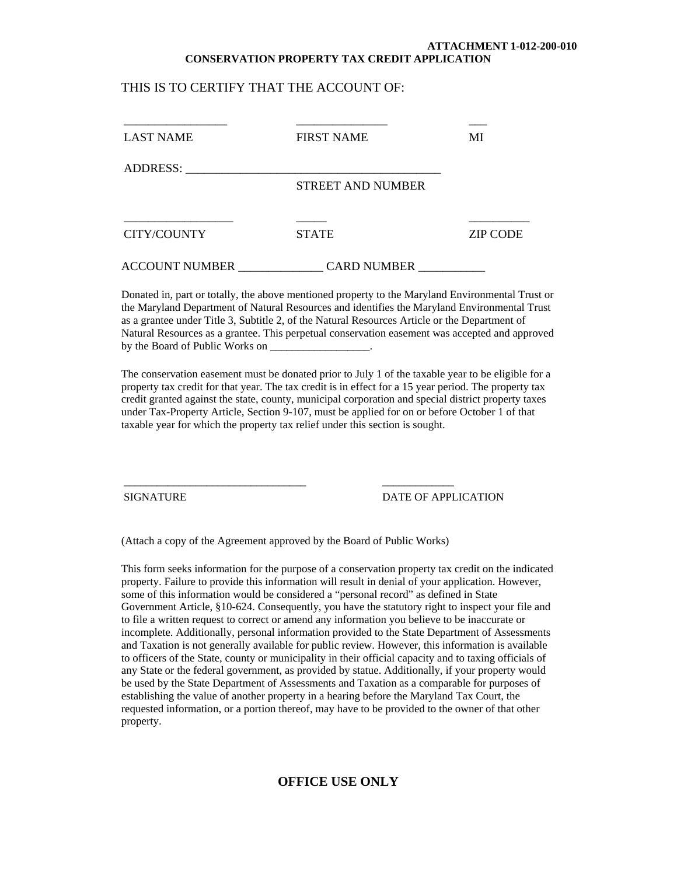#### **ATTACHMENT 1-012-200-010 CONSERVATION PROPERTY TAX CREDIT APPLICATION**

#### THIS IS TO CERTIFY THAT THE ACCOUNT OF:

| <b>LAST NAME</b>      | <b>FIRST NAME</b>        | MI              |
|-----------------------|--------------------------|-----------------|
| ADDRESS:              |                          |                 |
|                       | <b>STREET AND NUMBER</b> |                 |
|                       |                          |                 |
| CITY/COUNTY           | <b>STATE</b>             | <b>ZIP CODE</b> |
| <b>ACCOUNT NUMBER</b> | <b>CARD NUMBER</b>       |                 |

Donated in, part or totally, the above mentioned property to the Maryland Environmental Trust or the Maryland Department of Natural Resources and identifies the Maryland Environmental Trust as a grantee under Title 3, Subtitle 2, of the Natural Resources Article or the Department of Natural Resources as a grantee. This perpetual conservation easement was accepted and approved by the Board of Public Works on

The conservation easement must be donated prior to July 1 of the taxable year to be eligible for a property tax credit for that year. The tax credit is in effect for a 15 year period. The property tax credit granted against the state, county, municipal corporation and special district property taxes under Tax-Property Article, Section 9-107, must be applied for on or before October 1 of that taxable year for which the property tax relief under this section is sought.

SIGNATURE DATE OF APPLICATION

(Attach a copy of the Agreement approved by the Board of Public Works)

\_\_\_\_\_\_\_\_\_\_\_\_\_\_\_\_\_\_\_\_\_\_\_\_\_\_\_\_\_\_\_\_\_ \_\_\_\_\_\_\_\_\_\_\_\_\_

This form seeks information for the purpose of a conservation property tax credit on the indicated property. Failure to provide this information will result in denial of your application. However, some of this information would be considered a "personal record" as defined in State Government Article, §10-624. Consequently, you have the statutory right to inspect your file and to file a written request to correct or amend any information you believe to be inaccurate or incomplete. Additionally, personal information provided to the State Department of Assessments and Taxation is not generally available for public review. However, this information is available to officers of the State, county or municipality in their official capacity and to taxing officials of any State or the federal government, as provided by statue. Additionally, if your property would be used by the State Department of Assessments and Taxation as a comparable for purposes of establishing the value of another property in a hearing before the Maryland Tax Court, the requested information, or a portion thereof, may have to be provided to the owner of that other property.

### **OFFICE USE ONLY**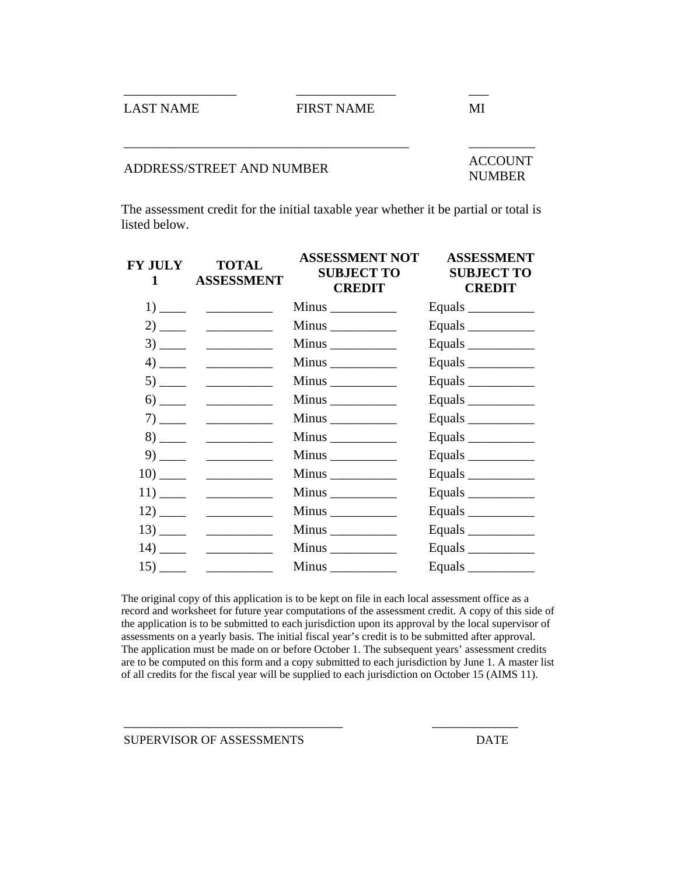LAST NAME FIRST NAME MI

\_\_\_\_\_\_\_\_\_\_\_\_\_\_\_\_\_ \_\_\_\_\_\_\_\_\_\_\_\_\_\_\_ \_\_\_

# ADDRESS/STREET AND NUMBER ACCOUNT

\_\_\_\_\_\_\_\_\_\_\_\_\_\_\_\_\_\_\_\_\_\_\_\_\_\_\_\_\_\_\_\_\_\_\_\_\_\_\_\_\_\_\_

NUMBER

 $\overline{\phantom{a}}$ 

\_\_\_\_\_\_\_\_\_\_

The assessment credit for the initial taxable year whether it be partial or total is listed below.

 $\overline{\phantom{a}}$ 

| FY JULY<br>$1 \quad \Box$ | <b>TOTAL</b><br><b>ASSESSMENT</b>                                    | ASSESSMENT NOT<br><b>SUBJECT TO</b><br><b>CREDIT</b> | <b>ASSESSMENT</b><br><b>SUBJECT TO</b><br><b>CREDIT</b> |
|---------------------------|----------------------------------------------------------------------|------------------------------------------------------|---------------------------------------------------------|
|                           |                                                                      |                                                      | Equals $\frac{\qquad \qquad }{\qquad \qquad }$          |
|                           |                                                                      |                                                      | Equals                                                  |
|                           |                                                                      | Minus                                                | Equals                                                  |
|                           |                                                                      |                                                      | Equals                                                  |
|                           |                                                                      |                                                      |                                                         |
|                           | $\begin{array}{c}\n6) \quad \quad \text{---} \\ \hline\n\end{array}$ |                                                      | Equals                                                  |
|                           |                                                                      |                                                      | Equals                                                  |
|                           |                                                                      | Minus                                                | Equals                                                  |
|                           |                                                                      |                                                      | Equals                                                  |
|                           |                                                                      |                                                      | Equals $\frac{\qquad \qquad }{\qquad \qquad }$          |
|                           |                                                                      |                                                      | Equals                                                  |
|                           |                                                                      |                                                      | Equals                                                  |
|                           |                                                                      |                                                      | Equals $\frac{\qquad \qquad }{\qquad \qquad }$          |
| $\frac{14}{\frac{1}{2}}$  |                                                                      |                                                      | Equals                                                  |
|                           |                                                                      |                                                      | Equals                                                  |

The original copy of this application is to be kept on file in each local assessment office as a record and worksheet for future year computations of the assessment credit. A copy of this side of the application is to be submitted to each jurisdiction upon its approval by the local supervisor of assessments on a yearly basis. The initial fiscal year's credit is to be submitted after approval. The application must be made on or before October 1. The subsequent years' assessment credits are to be computed on this form and a copy submitted to each jurisdiction by June 1. A master list of all credits for the fiscal year will be supplied to each jurisdiction on October 15 (AIMS 11).

\_\_\_\_\_\_\_\_\_\_\_\_\_\_\_\_\_\_\_\_\_\_\_\_\_\_\_\_\_\_\_\_\_ \_\_\_\_\_\_\_\_\_\_\_\_\_

SUPERVISOR OF ASSESSMENTS DATE